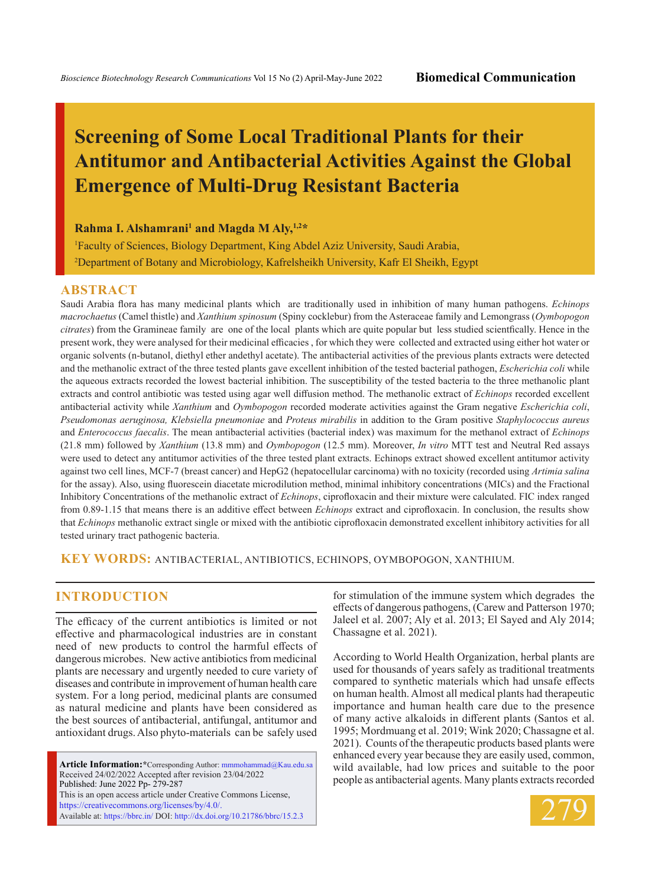# **Screening of Some Local Traditional Plants for their Antitumor and Antibacterial Activities Against the Global Emergence of Multi-Drug Resistant Bacteria**

### **Rahma I. Alshamrani<sup>1</sup> and Magda M Aly, 1,2\***

1 Faculty of Sciences, Biology Department, King Abdel Aziz University, Saudi Arabia, 2 Department of Botany and Microbiology, Kafrelsheikh University, Kafr El Sheikh, Egypt

#### **ABSTRACT**

Saudi Arabia flora has many medicinal plants which are traditionally used in inhibition of many human pathogens. *Echinops macrochaetus* (Camel thistle) and *Xanthium spinosum* (Spiny cocklebur) from the Asteraceae family and Lemongrass (*Oymbopogon citrates*) from the Gramineae family are one of the local plants which are quite popular but less studied scientfically. Hence in the present work, they were analysed for their medicinal efficacies , for which they were collected and extracted using either hot water or organic solvents (n-butanol, diethyl ether andethyl acetate). The antibacterial activities of the previous plants extracts were detected and the methanolic extract of the three tested plants gave excellent inhibition of the tested bacterial pathogen, *Escherichia coli* while the aqueous extracts recorded the lowest bacterial inhibition. The susceptibility of the tested bacteria to the three methanolic plant extracts and control antibiotic was tested using agar well diffusion method. The methanolic extract of *Echinops* recorded excellent antibacterial activity while *Xanthium* and *Oymbopogon* recorded moderate activities against the Gram negative *Escherichia coli*, *Pseudomonas aeruginosa, Klebsiella pneumoniae* and *Proteus mirabilis* in addition to the Gram positive *Staphylococcus aureus*  and *Enterococcus faecalis*. The mean antibacterial activities (bacterial index) was maximum for the methanol extract of *Echinops*  (21.8 mm) followed by *Xanthium* (13.8 mm) and *Oymbopogon* (12.5 mm). Moreover, *In vitro* MTT test and Neutral Red assays were used to detect any antitumor activities of the three tested plant extracts. Echinops extract showed excellent antitumor activity against two cell lines, MCF-7 (breast cancer) and HepG2 (hepatocellular carcinoma) with no toxicity (recorded using *Artimia salina*  for the assay). Also, using fluorescein diacetate microdilution method, minimal inhibitory concentrations (MICs) and the Fractional Inhibitory Concentrations of the methanolic extract of *Echinops*, ciprofloxacin and their mixture were calculated. FIC index ranged from 0.89-1.15 that means there is an additive effect between *Echinops* extract and ciprofloxacin. In conclusion, the results show that *Echinops* methanolic extract single or mixed with the antibiotic ciprofloxacin demonstrated excellent inhibitory activities for all tested urinary tract pathogenic bacteria.

**KEY WORDS:** antibacterial, antibiotics, Echinops, Oymbopogon, Xanthium.

### **INTRODUCTION**

The efficacy of the current antibiotics is limited or not effective and pharmacological industries are in constant need of new products to control the harmful effects of dangerous microbes. New active antibiotics from medicinal plants are necessary and urgently needed to cure variety of diseases and contribute in improvement of human health care system. For a long period, medicinal plants are consumed as natural medicine and plants have been considered as the best sources of antibacterial, antifungal, antitumor and antioxidant drugs. Also phyto-materials can be safely used

**Article Information:\***Corresponding Author: mmmohammad@Kau.edu.sa Received 24/02/2022 Accepted after revision 23/04/2022 Published: June 2022 Pp- 279-287 This is an open access article under Creative Commons License, https://creativecommons.org/licenses/by/4.0/. Available at: https://bbrc.in/ DOI: http://dx.doi.org/10.21786/bbrc/15.2.3

for stimulation of the immune system which degrades the effects of dangerous pathogens, (Carew and Patterson 1970; Jaleel et al. 2007; Aly et al. 2013; El Sayed and Aly 2014; Chassagne et al. 2021).

According to World Health Organization, herbal plants are used for thousands of years safely as traditional treatments compared to synthetic materials which had unsafe effects on human health. Almost all medical plants had therapeutic importance and human health care due to the presence of many active alkaloids in different plants (Santos et al. 1995; Mordmuang et al. 2019; Wink 2020; Chassagne et al. 2021). Counts of the therapeutic products based plants were enhanced every year because they are easily used, common, wild available, had low prices and suitable to the poor people as antibacterial agents. Many plants extracts recorded

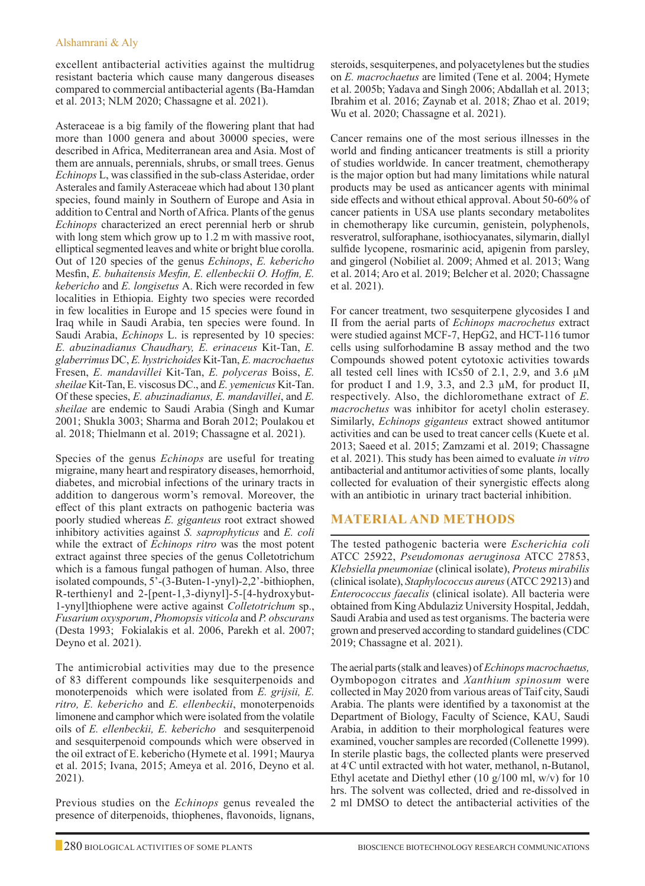excellent antibacterial activities against the multidrug resistant bacteria which cause many dangerous diseases compared to commercial antibacterial agents (Ba-Hamdan et al. 2013; NLM 2020; Chassagne et al. 2021).

Asteraceae is a big family of the flowering plant that had more than 1000 genera and about 30000 species, were described in Africa, Mediterranean area and Asia. Most of them are annuals, perennials, shrubs, or small trees. Genus *Echinops* L, was classified in the sub-class Asteridae, order Asterales and family Asteraceae which had about 130 plant species, found mainly in Southern of Europe and Asia in addition to Central and North of Africa. Plants of the genus *Echinops* characterized an erect perennial herb or shrub with long stem which grow up to 1.2 m with massive root, elliptical segmented leaves and white or bright blue corolla. Out of 120 species of the genus *Echinops*, *E. kebericho*  Mesfin, *E. buhaitensis Mesfin, E. ellenbeckii O. Hoffm, E. kebericho* and *E. longisetus* A. Rich were recorded in few localities in Ethiopia. Eighty two species were recorded in few localities in Europe and 15 species were found in Iraq while in Saudi Arabia, ten species were found. In Saudi Arabia, *Echinops* L. is represented by 10 species: *E. abuzinadianus Chaudhary, E. erinaceus* Kit-Tan, *E. glaberrimus* DC, *E. hystrichoides* Kit-Tan, *E. macrochaetus*  Fresen, *E. mandavillei* Kit-Tan, *E. polyceras* Boiss, *E. sheilae* Kit-Tan, E. viscosus DC., and *E. yemenicus* Kit-Tan. Of these species, *E. abuzinadianus, E. mandavillei*, and *E. sheilae* are endemic to Saudi Arabia (Singh and Kumar 2001; Shukla 3003; Sharma and Borah 2012; Poulakou et al. 2018; Thielmann et al. 2019; Chassagne et al. 2021).

Species of the genus *Echinops* are useful for treating migraine, many heart and respiratory diseases, hemorrhoid, diabetes, and microbial infections of the urinary tracts in addition to dangerous worm's removal. Moreover, the effect of this plant extracts on pathogenic bacteria was poorly studied whereas *E. giganteus* root extract showed inhibitory activities against *S. saprophyticus* and *E. coli*  while the extract of *Echinops ritro* was the most potent extract against three species of the genus Colletotrichum which is a famous fungal pathogen of human. Also, three isolated compounds, 5'-(3-Buten-1-ynyl)-2,2'-bithiophen, R-terthienyl and 2-[pent-1,3-diynyl]-5-[4-hydroxybut-1-ynyl]thiophene were active against *Colletotrichum* sp., *Fusarium oxysporum*, *Phomopsis viticola* and *P. obscurans*  (Desta 1993; Fokialakis et al. 2006, Parekh et al. 2007; Deyno et al. 2021).

The antimicrobial activities may due to the presence of 83 different compounds like sesquiterpenoids and monoterpenoids which were isolated from *E. grijsii, E. ritro, E. kebericho* and *E. ellenbeckii*, monoterpenoids limonene and camphor which were isolated from the volatile oils of *E. ellenbeckii, E. kebericho* and sesquiterpenoid and sesquiterpenoid compounds which were observed in the oil extract of E. kebericho (Hymete et al. 1991; Maurya et al. 2015; Ivana, 2015; Ameya et al. 2016, Deyno et al. 2021).

Previous studies on the *Echinops* genus revealed the presence of diterpenoids, thiophenes, flavonoids, lignans, steroids, sesquiterpenes, and polyacetylenes but the studies on *E. macrochaetus* are limited (Tene et al. 2004; Hymete et al. 2005b; Yadava and Singh 2006; Abdallah et al. 2013; Ibrahim et al. 2016; Zaynab et al. 2018; Zhao et al. 2019; Wu et al. 2020; Chassagne et al. 2021).

Cancer remains one of the most serious illnesses in the world and finding anticancer treatments is still a priority of studies worldwide. In cancer treatment, chemotherapy is the major option but had many limitations while natural products may be used as anticancer agents with minimal side effects and without ethical approval. About 50-60% of cancer patients in USA use plants secondary metabolites in chemotherapy like curcumin, genistein, polyphenols, resveratrol, sulforaphane, isothiocyanates, silymarin, diallyl sulfide lycopene, rosmarinic acid, apigenin from parsley, and gingerol (Nobiliet al. 2009; Ahmed et al. 2013; Wang et al. 2014; Aro et al. 2019; Belcher et al. 2020; Chassagne et al. 2021).

For cancer treatment, two sesquiterpene glycosides I and II from the aerial parts of *Echinops macrochetus* extract were studied against MCF-7, HepG2, and HCT-116 tumor cells using sulforhodamine B assay method and the two Compounds showed potent cytotoxic activities towards all tested cell lines with ICs50 of 2.1, 2.9, and 3.6 µM for product I and 1.9, 3.3, and 2.3 µM, for product II, respectively. Also, the dichloromethane extract of *E. macrochetus* was inhibitor for acetyl cholin esterasey. Similarly, *Echinops giganteus* extract showed antitumor activities and can be used to treat cancer cells (Kuete et al. 2013; Saeed et al. 2015; Zamzami et al. 2019; Chassagne et al. 2021). This study has been aimed to evaluate *in vitro* antibacterial and antitumor activities of some plants, locally collected for evaluation of their synergistic effects along with an antibiotic in urinary tract bacterial inhibition.

# **Material and Methods**

The tested pathogenic bacteria were *Escherichia coli*  ATCC 25922, *Pseudomonas aeruginosa* ATCC 27853, *Klebsiella pneumoniae* (clinical isolate), *Proteus mirabilis*  (clinical isolate), *Staphylococcus aureus* (ATCC 29213) and *Enterococcus faecalis* (clinical isolate). All bacteria were obtained from King Abdulaziz University Hospital, Jeddah, Saudi Arabia and used as test organisms. The bacteria were grown and preserved according to standard guidelines (CDC 2019; Chassagne et al. 2021).

The aerial parts (stalk and leaves) of *Echinops macrochaetus,*  Oymbopogon citrates and *Xanthium spinosum* were collected in May 2020 from various areas of Taif city, Saudi Arabia. The plants were identified by a taxonomist at the Department of Biology, Faculty of Science, KAU, Saudi Arabia, in addition to their morphological features were examined, voucher samples are recorded (Collenette 1999). In sterile plastic bags, the collected plants were preserved at 4◦ C until extracted with hot water, methanol, n-Butanol, Ethyl acetate and Diethyl ether (10 g/100 ml, w/v) for 10 hrs. The solvent was collected, dried and re-dissolved in 2 ml DMSO to detect the antibacterial activities of the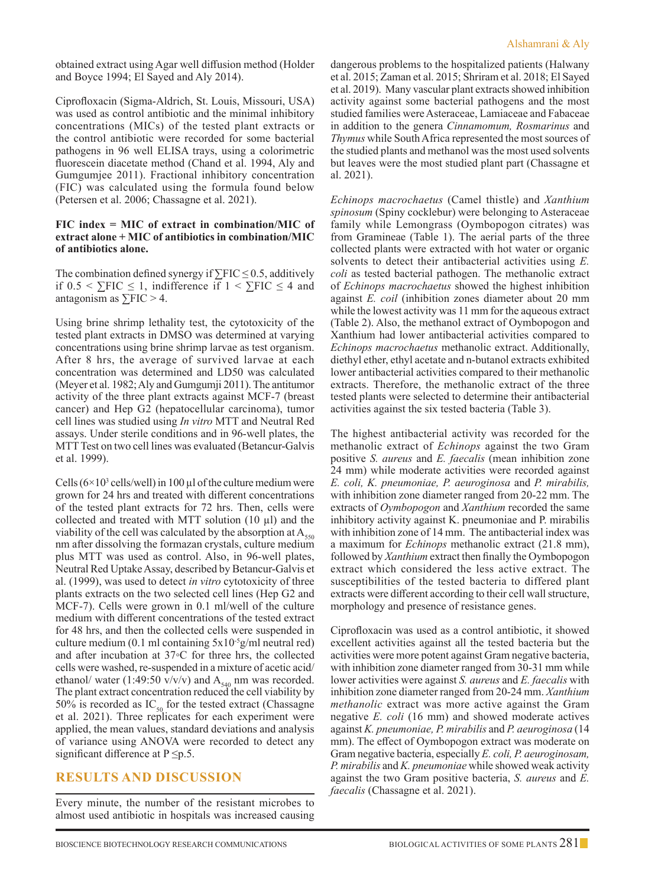obtained extract using Agar well diffusion method (Holder and Boyce 1994; El Sayed and Aly 2014).

Ciprofloxacin (Sigma-Aldrich, St. Louis, Missouri, USA) was used as control antibiotic and the minimal inhibitory concentrations (MICs) of the tested plant extracts or the control antibiotic were recorded for some bacterial pathogens in 96 well ELISA trays, using a colorimetric fluorescein diacetate method (Chand et al. 1994, Aly and Gumgumjee 2011). Fractional inhibitory concentration (FIC) was calculated using the formula found below (Petersen et al. 2006; Chassagne et al. 2021).

### **FIC index = MIC of extract in combination/MIC of extract alone + MIC of antibiotics in combination/MIC of antibiotics alone.**

The combination defined synergy if  $\Sigma FIC \leq 0.5$ , additively if 0.5 < ∑FIC ≤ 1, indifference if 1 < ∑FIC ≤ 4 and antagonism as  $\Sigma FIC > 4$ .

Using brine shrimp lethality test, the cytotoxicity of the tested plant extracts in DMSO was determined at varying concentrations using brine shrimp larvae as test organism. After 8 hrs, the average of survived larvae at each concentration was determined and LD50 was calculated (Meyer et al. 1982; Aly and Gumgumji 2011). The antitumor activity of the three plant extracts against MCF-7 (breast cancer) and Hep G2 (hepatocellular carcinoma), tumor cell lines was studied using *In vitro* MTT and Neutral Red assays. Under sterile conditions and in 96-well plates, the MTT Test on two cell lines was evaluated (Betancur-Galvis et al. 1999).

Cells  $(6 \times 10^3 \text{ cells/well})$  in 100 µl of the culture medium were grown for 24 hrs and treated with different concentrations of the tested plant extracts for 72 hrs. Then, cells were collected and treated with MTT solution  $(10 \mu l)$  and the viability of the cell was calculated by the absorption at  $A_{550}$ nm after dissolving the formazan crystals, culture medium plus MTT was used as control. Also, in 96-well plates, Neutral Red Uptake Assay, described by Betancur-Galvis et al. (1999), was used to detect *in vitro* cytotoxicity of three plants extracts on the two selected cell lines (Hep G2 and MCF-7). Cells were grown in 0.1 ml/well of the culture medium with different concentrations of the tested extract for 48 hrs, and then the collected cells were suspended in culture medium (0.1 ml containing  $5x10^{-5}$ g/ml neutral red) and after incubation at 37◦C for three hrs, the collected cells were washed, re-suspended in a mixture of acetic acid/ ethanol/ water (1:49:50 v/v/v) and  $A_{540}$  nm was recorded. The plant extract concentration reduced the cell viability by 50% is recorded as  $IC_{50}$  for the tested extract (Chassagne et al. 2021). Three replicates for each experiment were applied, the mean values, standard deviations and analysis of variance using ANOVA were recorded to detect any significant difference at  $P \leq p.5$ .

# **Results and Discussion**

Every minute, the number of the resistant microbes to almost used antibiotic in hospitals was increased causing dangerous problems to the hospitalized patients (Halwany et al. 2015; Zaman et al. 2015; Shriram et al. 2018; El Sayed et al. 2019). Many vascular plant extracts showed inhibition activity against some bacterial pathogens and the most studied families were Asteraceae, Lamiaceae and Fabaceae in addition to the genera *Cinnamomum, Rosmarinus* and *Thymus* while South Africa represented the most sources of the studied plants and methanol was the most used solvents but leaves were the most studied plant part (Chassagne et al. 2021).

*Echinops macrochaetus* (Camel thistle) and *Xanthium spinosum* (Spiny cocklebur) were belonging to Asteraceae family while Lemongrass (Oymbopogon citrates) was from Gramineae (Table 1). The aerial parts of the three collected plants were extracted with hot water or organic solvents to detect their antibacterial activities using *E. coli* as tested bacterial pathogen. The methanolic extract of *Echinops macrochaetus* showed the highest inhibition against *E. coil* (inhibition zones diameter about 20 mm while the lowest activity was 11 mm for the aqueous extract (Table 2). Also, the methanol extract of Oymbopogon and Xanthium had lower antibacterial activities compared to *Echinops macrochaetus* methanolic extract. Additionally, diethyl ether, ethyl acetate and n-butanol extracts exhibited lower antibacterial activities compared to their methanolic extracts. Therefore, the methanolic extract of the three tested plants were selected to determine their antibacterial activities against the six tested bacteria (Table 3).

The highest antibacterial activity was recorded for the methanolic extract of *Echinops* against the two Gram positive *S. aureus* and *E. faecalis* (mean inhibition zone 24 mm) while moderate activities were recorded against *E. coli, K. pneumoniae, P. aeuroginosa* and *P. mirabilis,*  with inhibition zone diameter ranged from 20-22 mm. The extracts of *Oymbopogon* and *Xanthium* recorded the same inhibitory activity against K. pneumoniae and P. mirabilis with inhibition zone of 14 mm. The antibacterial index was a maximum for *Echinops* methanolic extract (21.8 mm), followed by *Xanthium* extract then finally the Oymbopogon extract which considered the less active extract. The susceptibilities of the tested bacteria to differed plant extracts were different according to their cell wall structure, morphology and presence of resistance genes.

Ciprofloxacin was used as a control antibiotic, it showed excellent activities against all the tested bacteria but the activities were more potent against Gram negative bacteria, with inhibition zone diameter ranged from 30-31 mm while lower activities were against *S. aureus* and *E. faecalis* with inhibition zone diameter ranged from 20-24 mm. *Xanthium methanolic* extract was more active against the Gram negative *E. coli* (16 mm) and showed moderate actives against *K. pneumoniae, P. mirabilis* and *P. aeuroginosa* (14 mm). The effect of Oymbopogon extract was moderate on Gram negative bacteria, especially *E. coli, P. aeuroginosam, P. mirabilis* and *K. pneumoniae* while showed weak activity against the two Gram positive bacteria, *S. aureus* and *E. faecalis* (Chassagne et al. 2021).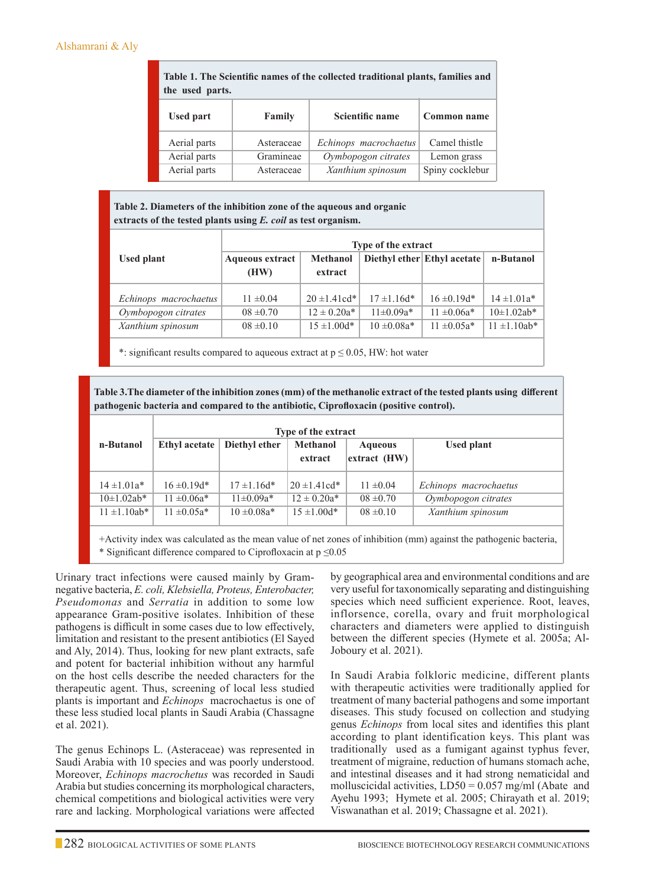| Table 1. The Scientific names of the collected traditional plants, families and |  |
|---------------------------------------------------------------------------------|--|
| the used parts.                                                                 |  |

| <b>Used part</b> | Family     | Scientific name       | Common name     |
|------------------|------------|-----------------------|-----------------|
| Aerial parts     | Asteraceae | Echinops macrochaetus | Camel thistle   |
| Aerial parts     | Gramineae  | Oymbopogon citrates   | Lemon grass     |
| Aerial parts     | Asteraceae | Xanthium spinosum     | Spiny cocklebur |

**Table 2. Diameters of the inhibition zone of the aqueous and organic extracts of the tested plants using** *E. coil* **as test organism.**

|                       | <b>Type of the extract</b>     |                            |                             |                  |                   |  |  |
|-----------------------|--------------------------------|----------------------------|-----------------------------|------------------|-------------------|--|--|
| Used plant            | <b>Aqueous extract</b><br>(HW) | <b>Methanol</b><br>extract | Diethyl ether Ethyl acetate |                  | n-Butanol         |  |  |
| Echinops macrochaetus | $11 \pm 0.04$                  | $20 \pm 1.41$ cd*          | $17 \pm 1.16d*$             | $16 \pm 0.19d*$  | $14 \pm 1.01a*$   |  |  |
| Oymbopogon citrates   | $08 \pm 0.70$                  | $12 \pm 0.20a*$            | $11\pm0.09a*$               | $11 \pm 0.06a^*$ | $10\pm1.02ab*$    |  |  |
| Xanthium spinosum     | $08 \pm 0.10$                  | $15 \pm 1.00d*$            | $10 \pm 0.08a*$             | $11 \pm 0.05a*$  | $11 \pm 1.10$ ab* |  |  |

\*: significant results compared to aqueous extract at  $p \le 0.05$ , HW: hot water

**Table 3.The diameter of the inhibition zones (mm) of the methanolic extract of the tested plants using different pathogenic bacteria and compared to the antibiotic, Ciprofloxacin (positive control).**

|                   | Type of the extract  |                                                                                 |                    |               |                       |  |  |
|-------------------|----------------------|---------------------------------------------------------------------------------|--------------------|---------------|-----------------------|--|--|
| n-Butanol         | <b>Ethyl acetate</b> | <b>Methanol</b><br>Diethyl ether<br><b>Aqueous</b><br>$extract$ (HW)<br>extract |                    | Used plant    |                       |  |  |
| $14 \pm 1.01a*$   | $16 \pm 0.19d*$      | $17 \pm 1.16d*$                                                                 | $120 \pm 1.41$ cd* | $11 \pm 0.04$ | Echinops macrochaetus |  |  |
| $10\pm1.02ab*$    | $11 \pm 0.06a*$      | $11\pm0.09a*$                                                                   | $12 \pm 0.20a*$    | $08 \pm 0.70$ | Oymbopogon citrates   |  |  |
| $11 \pm 1.10$ ab* | $11 \pm 0.05a*$      | $10 \pm 0.08a*$                                                                 | $15 \pm 1.00d*$    | $08 \pm 0.10$ | Xanthium spinosum     |  |  |

+Activity index was calculated as the mean value of net zones of inhibition (mm) against the pathogenic bacteria, \* Significant difference compared to Ciprofloxacin at  $p \leq 0.05$ 

Urinary tract infections were caused mainly by Gramnegative bacteria, *E. coli, Klebsiella, Proteus, Enterobacter, Pseudomonas* and *Serratia* in addition to some low appearance Gram-positive isolates. Inhibition of these pathogens is difficult in some cases due to low effectively, limitation and resistant to the present antibiotics (El Sayed and Aly, 2014). Thus, looking for new plant extracts, safe and potent for bacterial inhibition without any harmful on the host cells describe the needed characters for the therapeutic agent. Thus, screening of local less studied plants is important and *Echinops* macrochaetus is one of these less studied local plants in Saudi Arabia (Chassagne et al. 2021).

The genus Echinops L. (Asteraceae) was represented in Saudi Arabia with 10 species and was poorly understood. Moreover, *Echinops macrochetus* was recorded in Saudi Arabia but studies concerning its morphological characters, chemical competitions and biological activities were very rare and lacking. Morphological variations were affected by geographical area and environmental conditions and are very useful for taxonomically separating and distinguishing species which need sufficient experience. Root, leaves, inflorsence, corella, ovary and fruit morphological characters and diameters were applied to distinguish between the different species (Hymete et al. 2005a; Al-Joboury et al. 2021).

In Saudi Arabia folkloric medicine, different plants with therapeutic activities were traditionally applied for treatment of many bacterial pathogens and some important diseases. This study focused on collection and studying genus *Echinops* from local sites and identifies this plant according to plant identification keys. This plant was traditionally used as a fumigant against typhus fever, treatment of migraine, reduction of humans stomach ache, and intestinal diseases and it had strong nematicidal and molluscicidal activities, LD50 = 0.057 mg/ml (Abate and Ayehu 1993; Hymete et al. 2005; Chirayath et al. 2019; Viswanathan et al. 2019; Chassagne et al. 2021).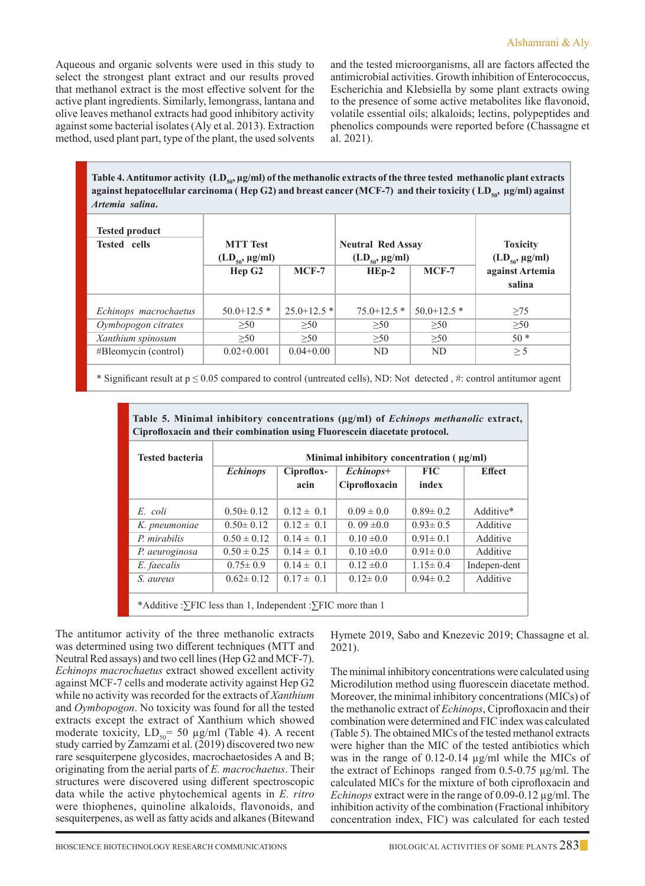Aqueous and organic solvents were used in this study to select the strongest plant extract and our results proved that methanol extract is the most effective solvent for the active plant ingredients. Similarly, lemongrass, lantana and olive leaves methanol extracts had good inhibitory activity against some bacterial isolates (Aly et al. 2013). Extraction method, used plant part, type of the plant, the used solvents

and the tested microorganisms, all are factors affected the antimicrobial activities. Growth inhibition of Enterococcus, Escherichia and Klebsiella by some plant extracts owing to the presence of some active metabolites like flavonoid, volatile essential oils; alkaloids; lectins, polypeptides and phenolics compounds were reported before (Chassagne et al. 2021).

Table 4. Antitumor activity (LD<sub>50</sub>, µg/ml) of the methanolic extracts of the three tested methanolic plant extracts against hepatocellular carcinoma (Hep G2) and breast cancer (MCF-7) and their toxicity (LD<sub>50</sub>, µg/ml) against *Artemia salina***.**

| <b>Tested product</b><br><b>Tested</b> cells | <b>MTT</b> Test<br>$(LD_{50}, \mu g/ml)$<br>Hep G <sub>2</sub> | $MCF-7$         | <b>Neutral Red Assay</b><br>$(LD_{50}, \mu g/ml)$<br>$HEp-2$<br>$MCF-7$ |                 | <b>Toxicity</b><br>$(LD_{50}, \mu g/ml)$<br>against Artemia<br>salina |
|----------------------------------------------|----------------------------------------------------------------|-----------------|-------------------------------------------------------------------------|-----------------|-----------------------------------------------------------------------|
| Echinops macrochaetus                        | $50.0 + 12.5$ *                                                | $25.0 + 12.5$ * | $75.0 + 12.5$ *                                                         | $50.0 + 12.5$ * | $\geq$ 75                                                             |
| Oymbopogon citrates                          | >50                                                            | >50             | >50                                                                     | >50             | >50                                                                   |
| Xanthium spinosum                            | >50                                                            | >50             | >50                                                                     | >50             | $50*$                                                                 |
| #Bleomycin (control)                         | $0.02+0.001$                                                   | $0.04 + 0.00$   | ND.                                                                     | ND              | $\geq$ 5                                                              |

\* Significant result at  $p \le 0.05$  compared to control (untreated cells), ND: Not detected, #: control antitumor agent

| <b>Tested bacteria</b> | Minimal inhibitory concentration $(\mu g/ml)$ |                           |                |                |               |
|------------------------|-----------------------------------------------|---------------------------|----------------|----------------|---------------|
|                        | <b>Echinops</b>                               | Ciproflox-<br>$Echinops+$ |                |                | <b>Effect</b> |
|                        |                                               | acin                      | Ciprofloxacin  | index          |               |
| E. coli                | $0.50 \pm 0.12$                               | $0.12 \pm 0.1$            | $0.09 \pm 0.0$ | $0.89 \pm 0.2$ | Additive*     |
| K. pneumoniae          | $0.50 \pm 0.12$                               | $0.12 \pm 0.1$            | $0.09 \pm 0.0$ | $0.93 \pm 0.5$ | Additive      |
| P. mirabilis           | $0.50 \pm 0.12$                               | $0.14 \pm 0.1$            | $0.10 \pm 0.0$ | $0.91 \pm 0.1$ | Additive      |
| P. aeuroginosa         | $0.50 \pm 0.25$                               | $0.14 \pm 0.1$            | $0.10 \pm 0.0$ | $0.91 \pm 0.0$ | Additive      |
| E. faecalis            | $0.75 \pm 0.9$                                | $0.14 \pm 0.1$            | $0.12 \pm 0.0$ | $1.15 \pm 0.4$ | Indepen-dent  |
| S. aureus              | $0.62 \pm 0.12$                               | $0.17 \pm 0.1$            | $0.12 \pm 0.0$ | $0.94 \pm 0.2$ | Additive      |

**Table 5. Minimal inhibitory concentrations (µg/ml) of** *Echinops methanolic* **extract,** 

The antitumor activity of the three methanolic extracts was determined using two different techniques (MTT and Neutral Red assays) and two cell lines (Hep G2 and MCF-7). *Echinops macrochaetus* extract showed excellent activity against MCF-7 cells and moderate activity against Hep G2 while no activity was recorded for the extracts of *Xanthium*  and *Oymbopogon*. No toxicity was found for all the tested extracts except the extract of Xanthium which showed moderate toxicity,  $LD_{50}$  = 50 µg/ml (Table 4). A recent study carried by Zamzami et al. (2019) discovered two new rare sesquiterpene glycosides, macrochaetosides A and B; originating from the aerial parts of *E. macrochaetus*. Their structures were discovered using different spectroscopic data while the active phytochemical agents in *E. ritro*  were thiophenes, quinoline alkaloids, flavonoids, and sesquiterpenes, as well as fatty acids and alkanes (Bitewand

Hymete 2019, Sabo and Knezevic 2019; Chassagne et al. 2021).

The minimal inhibitory concentrations were calculated using Microdilution method using fluorescein diacetate method. Moreover, the minimal inhibitory concentrations (MICs) of the methanolic extract of *Echinops*, Ciprofloxacin and their combination were determined and FIC index was calculated (Table 5). The obtained MICs of the tested methanol extracts were higher than the MIC of the tested antibiotics which was in the range of 0.12-0.14 µg/ml while the MICs of the extract of Echinops ranged from 0.5-0.75 µg/ml. The calculated MICs for the mixture of both ciprofloxacin and *Echinops* extract were in the range of 0.09-0.12 µg/ml. The inhibition activity of the combination (Fractional inhibitory concentration index, FIC) was calculated for each tested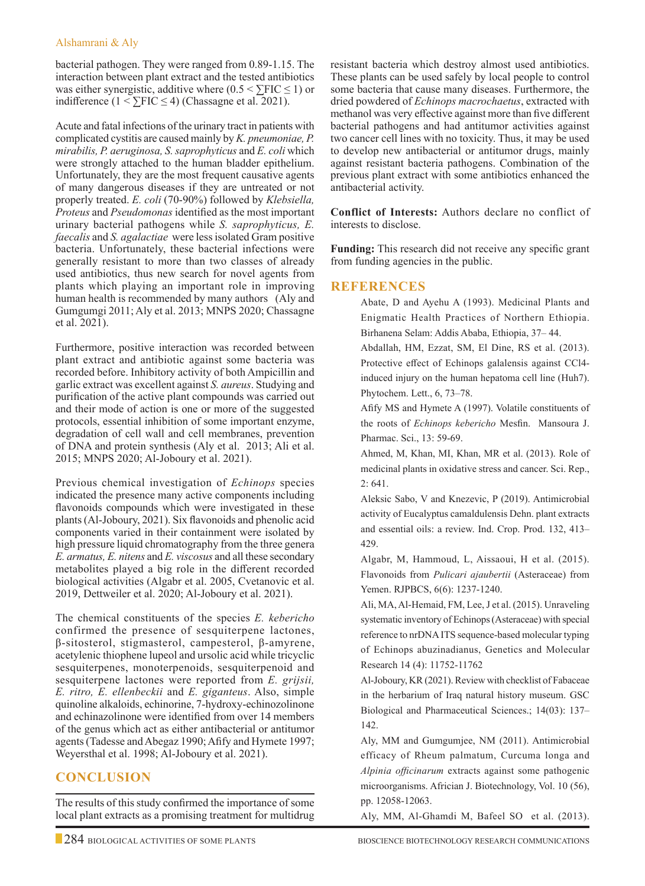### Alshamrani & Aly

bacterial pathogen. They were ranged from 0.89-1.15. The interaction between plant extract and the tested antibiotics was either synergistic, additive where  $(0.5 \leq \text{FIC} \leq 1)$  or indifference ( $1 < \sum FIC \le 4$ ) (Chassagne et al. 2021).

Acute and fatal infections of the urinary tract in patients with complicated cystitis are caused mainly by *K. pneumoniae, P. mirabilis, P. aeruginosa, S. saprophyticus* and *E. coli* which were strongly attached to the human bladder epithelium. Unfortunately, they are the most frequent causative agents of many dangerous diseases if they are untreated or not properly treated. *E. coli* (70-90%) followed by *Klebsiella, Proteus* and *Pseudomonas* identified as the most important urinary bacterial pathogens while *S. saprophyticus, E. faecalis* and *S. agalactiae* were less isolated Gram positive bacteria. Unfortunately, these bacterial infections were generally resistant to more than two classes of already used antibiotics, thus new search for novel agents from plants which playing an important role in improving human health is recommended by many authors (Aly and Gumgumgi 2011; Aly et al. 2013; MNPS 2020; Chassagne et al. 2021).

Furthermore, positive interaction was recorded between plant extract and antibiotic against some bacteria was recorded before. Inhibitory activity of both Ampicillin and garlic extract was excellent against *S. aureus*. Studying and purification of the active plant compounds was carried out and their mode of action is one or more of the suggested protocols, essential inhibition of some important enzyme, degradation of cell wall and cell membranes, prevention of DNA and protein synthesis (Aly et al. 2013; Ali et al. 2015; MNPS 2020; Al-Joboury et al. 2021).

Previous chemical investigation of *Echinops* species indicated the presence many active components including flavonoids compounds which were investigated in these plants (Al-Joboury, 2021). Six flavonoids and phenolic acid components varied in their containment were isolated by high pressure liquid chromatography from the three genera *E. armatus, E. nitens* and *E. viscosus* and all these secondary metabolites played a big role in the different recorded biological activities (Algabr et al. 2005, Cvetanovic et al. 2019, Dettweiler et al. 2020; Al-Joboury et al. 2021).

The chemical constituents of the species *E. kebericho*  confirmed the presence of sesquiterpene lactones, β-sitosterol, stigmasterol, campesterol, β-amyrene, acetylenic thiophene lupeol and ursolic acid while tricyclic sesquiterpenes, monoterpenoids, sesquiterpenoid and sesquiterpene lactones were reported from *E. grijsii, E. ritro, E. ellenbeckii* and *E. giganteus*. Also, simple quinoline alkaloids, echinorine, 7-hydroxy-echinozolinone and echinazolinone were identified from over 14 members of the genus which act as either antibacterial or antitumor agents (Tadesse and Abegaz 1990; Afify and Hymete 1997; Weyersthal et al. 1998; Al-Joboury et al. 2021).

# **Conclusion**

The results of this study confirmed the importance of some local plant extracts as a promising treatment for multidrug resistant bacteria which destroy almost used antibiotics. These plants can be used safely by local people to control some bacteria that cause many diseases. Furthermore, the dried powdered of *Echinops macrochaetus*, extracted with methanol was very effective against more than five different bacterial pathogens and had antitumor activities against two cancer cell lines with no toxicity. Thus, it may be used to develop new antibacterial or antitumor drugs, mainly against resistant bacteria pathogens. Combination of the previous plant extract with some antibiotics enhanced the antibacterial activity.

**Conflict of Interests:** Authors declare no conflict of interests to disclose.

**Funding:** This research did not receive any specific grant from funding agencies in the public.

### **References**

Abate, D and Ayehu A (1993). Medicinal Plants and Enigmatic Health Practices of Northern Ethiopia. Birhanena Selam: Addis Ababa, Ethiopia, 37– 44.

Abdallah, HM, Ezzat, SM, El Dine, RS et al. (2013). Protective effect of Echinops galalensis against CCl4 induced injury on the human hepatoma cell line (Huh7). Phytochem. Lett., 6, 73–78.

Afify MS and Hymete A (1997). Volatile constituents of the roots of *Echinops kebericho* Mesfin. Mansoura J. Pharmac. Sci., 13: 59-69.

Ahmed, M, Khan, MI, Khan, MR et al. (2013). Role of medicinal plants in oxidative stress and cancer. Sci. Rep., 2: 641.

Aleksic Sabo, V and Knezevic, P (2019). Antimicrobial activity of Eucalyptus camaldulensis Dehn. plant extracts and essential oils: a review. Ind. Crop. Prod. 132, 413– 429.

Algabr, M, Hammoud, L, Aissaoui, H et al. (2015). Flavonoids from *Pulicari ajaubertii* (Asteraceae) from Yemen. RJPBCS, 6(6): 1237-1240.

Ali, MA, Al-Hemaid, FM, Lee, J et al. (2015). Unraveling systematic inventory of Echinops (Asteraceae) with special reference to nrDNA ITS sequence-based molecular typing of Echinops abuzinadianus, Genetics and Molecular Research 14 (4): 11752-11762

Al-Joboury, KR (2021). Review with checklist of Fabaceae in the herbarium of Iraq natural history museum. GSC Biological and Pharmaceutical Sciences.; 14(03): 137– 142.

Aly, MM and Gumgumjee, NM (2011). Antimicrobial efficacy of Rheum palmatum, Curcuma longa and *Alpinia officinarum* extracts against some pathogenic microorganisms. Africian J. Biotechnology, Vol. 10 (56), pp. 12058-12063.

Aly, MM, Al-Ghamdi M, Bafeel SO et al. (2013).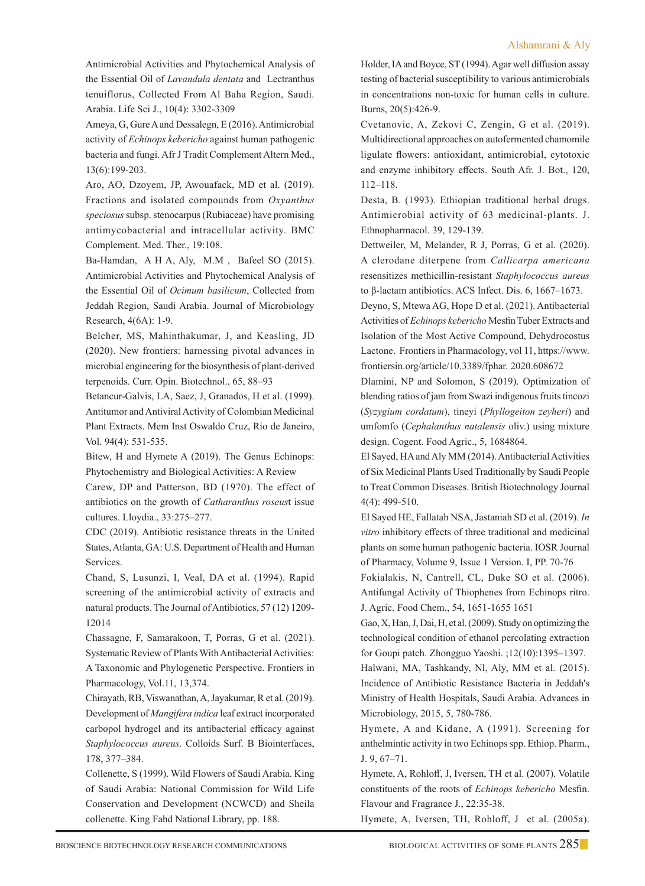Antimicrobial Activities and Phytochemical Analysis of the Essential Oil of *Lavandula dentata* and Lectranthus tenuiflorus, Collected From Al Baha Region, Saudi. Arabia. Life Sci J., 10(4): 3302-3309

Ameya, G, Gure A and Dessalegn, E (2016). Antimicrobial activity of *Echinops kebericho* against human pathogenic bacteria and fungi. Afr J Tradit Complement Altern Med., 13(6):199-203.

Aro, AO, Dzoyem, JP, Awouafack, MD et al. (2019). Fractions and isolated compounds from *Oxyanthus speciosus* subsp. stenocarpus (Rubiaceae) have promising antimycobacterial and intracellular activity. BMC Complement. Med. Ther., 19:108.

 Ba-Hamdan, A H A, Aly, M.M , Bafeel SO (2015). Antimicrobial Activities and Phytochemical Analysis of the Essential Oil of *Ocimum basilicum*, Collected from Jeddah Region, Saudi Arabia. Journal of Microbiology Research, 4(6A): 1-9.

 Belcher, MS, Mahinthakumar, J, and Keasling, JD (2020). New frontiers: harnessing pivotal advances in microbial engineering for the biosynthesis of plant-derived terpenoids. Curr. Opin. Biotechnol., 65, 88–93

 Betancur-Galvis, LA, Saez, J, Granados, H et al. (1999). Antitumor and Antiviral Activity of Colombian Medicinal Plant Extracts. Mem Inst Oswaldo Cruz, Rio de Janeiro, Vol. 94(4): 531-535.

 Bitew, H and Hymete A (2019). The Genus Echinops: Phytochemistry and Biological Activities: A Review

Carew, DP and Patterson, BD (1970). The effect of antibiotics on the growth of *Catharanthus roseus*t issue cultures. Lloydia., 33:275–277.

CDC (2019). Antibiotic resistance threats in the United States, Atlanta, GA: U.S. Department of Health and Human Services.

Chand, S, Lusunzi, I, Veal, DA et al. (1994). Rapid screening of the antimicrobial activity of extracts and natural products. The Journal of Antibiotics, 57 (12) 1209- 12014

Chassagne, F, Samarakoon, T, Porras, G et al. (2021). Systematic Review of Plants With Antibacterial Activities: A Taxonomic and Phylogenetic Perspective. Frontiers in Pharmacology, Vol.11, 13,374.

Chirayath, RB, Viswanathan, A, Jayakumar, R et al. (2019). Development of *Mangifera indica* leaf extract incorporated carbopol hydrogel and its antibacterial efficacy against *Staphylococcus aureus*. Colloids Surf. B Biointerfaces, 178, 377–384.

Collenette, S (1999). Wild Flowers of Saudi Arabia. King of Saudi Arabia: National Commission for Wild Life Conservation and Development (NCWCD) and Sheila collenette. King Fahd National Library, pp. 188.

Holder, IA and Boyce, ST (1994). Agar well diffusion assay testing of bacterial susceptibility to various antimicrobials in concentrations non-toxic for human cells in culture. Burns, 20(5):426-9.

Cvetanovic, A, Zekovi C, Zengin, G et al. (2019). Multidirectional approaches on autofermented chamomile ligulate flowers: antioxidant, antimicrobial, cytotoxic and enzyme inhibitory effects. South Afr. J. Bot., 120, 112–118.

Desta, B. (1993). Ethiopian traditional herbal drugs. Antimicrobial activity of 63 medicinal-plants. J. Ethnopharmacol. 39, 129-139.

Dettweiler, M, Melander, R J, Porras, G et al. (2020). A clerodane diterpene from *Callicarpa americana* resensitizes methicillin-resistant *Staphylococcus aureus* to β-lactam antibiotics. ACS Infect. Dis. 6, 1667–1673.

Deyno, S, Mtewa AG, Hope D et al. (2021). Antibacterial Activities of *Echinops kebericho* Mesfin Tuber Extracts and Isolation of the Most Active Compound, Dehydrocostus Lactone. Frontiers in Pharmacology, vol 11, https://www. frontiersin.org/article/10.3389/fphar. 2020.608672

Dlamini, NP and Solomon, S (2019). Optimization of blending ratios of jam from Swazi indigenous fruits tincozi (*Syzygium cordatum*), tineyi (*Phyllogeiton zeyheri*) and umfomfo (*Cephalanthus natalensis* oliv.) using mixture design. Cogent. Food Agric., 5, 1684864.

El Sayed, HA and Aly MM (2014). Antibacterial Activities of Six Medicinal Plants Used Traditionally by Saudi People to Treat Common Diseases. British Biotechnology Journal 4(4): 499-510.

El Sayed HE, Fallatah NSA, Jastaniah SD et al. (2019). *In vitro* inhibitory effects of three traditional and medicinal plants on some human pathogenic bacteria. IOSR Journal of Pharmacy, Volume 9, Issue 1 Version. I, PP. 70-76

Fokialakis, N, Cantrell, CL, Duke SO et al. (2006). Antifungal Activity of Thiophenes from Echinops ritro. J. Agric. Food Chem., 54, 1651-1655 1651

Gao, X, Han, J, Dai, H, et al. (2009). Study on optimizing the technological condition of ethanol percolating extraction for Goupi patch. Zhongguo Yaoshi. ;12(10):1395–1397.

Halwani, MA, Tashkandy, Nl, Aly, MM et al. (2015). Incidence of Antibiotic Resistance Bacteria in Jeddah's Ministry of Health Hospitals, Saudi Arabia. Advances in Microbiology, 2015, 5, 780-786.

Hymete, A and Kidane, A (1991). Screening for anthelmintic activity in two Echinops spp. Ethiop. Pharm., J. 9, 67–71.

Hymete, A, Rohloff, J, Iversen, TH et al. (2007). Volatile constituents of the roots of *Echinops kebericho* Mesfin. Flavour and Fragrance J., 22:35-38.

Hymete, A, Iversen, TH, Rohloff, J et al. (2005a).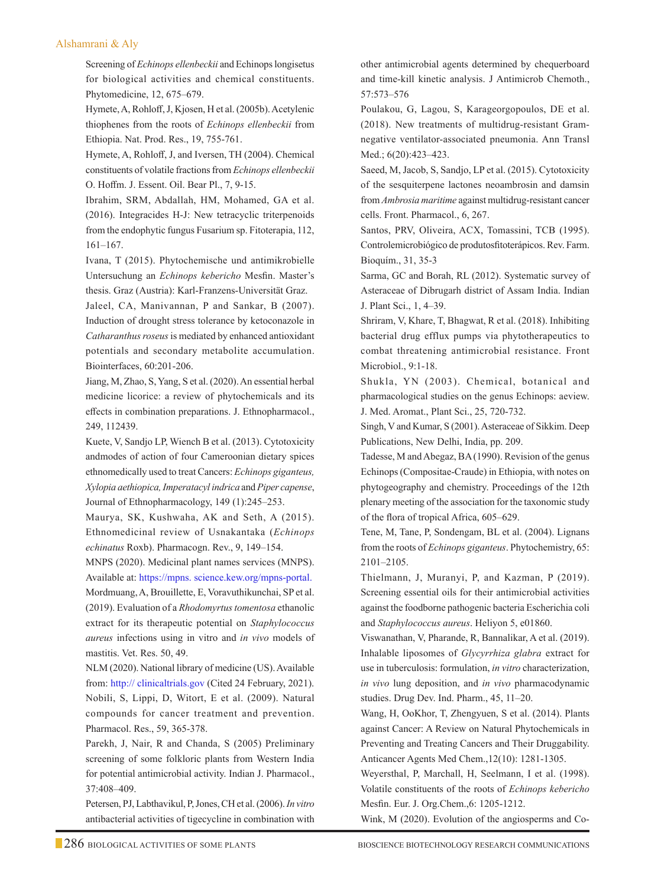#### Alshamrani & Aly

Screening of *Echinops ellenbeckii* and Echinops longisetus for biological activities and chemical constituents. Phytomedicine, 12, 675–679.

Hymete, A, Rohloff, J, Kjosen, H et al. (2005b). Acetylenic thiophenes from the roots of *Echinops ellenbeckii* from Ethiopia. Nat. Prod. Res., 19, 755-761.

Hymete, A, Rohloff, J, and Iversen, TH (2004). Chemical constituents of volatile fractions from *Echinops ellenbeckii* O. Hoffm. J. Essent. Oil. Bear Pl., 7, 9-15.

Ibrahim, SRM, Abdallah, HM, Mohamed, GA et al. (2016). Integracides H-J: New tetracyclic triterpenoids from the endophytic fungus Fusarium sp. Fitoterapia, 112, 161–167.

Ivana, T (2015). Phytochemische und antimikrobielle Untersuchung an *Echinops kebericho* Mesfin. Master's thesis. Graz (Austria): Karl-Franzens-Universität Graz.

Jaleel, CA, Manivannan, P and Sankar, B (2007). Induction of drought stress tolerance by ketoconazole in *Catharanthus roseus* is mediated by enhanced antioxidant potentials and secondary metabolite accumulation. Biointerfaces, 60:201-206.

Jiang, M, Zhao, S, Yang, S et al. (2020). An essential herbal medicine licorice: a review of phytochemicals and its effects in combination preparations. J. Ethnopharmacol., 249, 112439.

Kuete, V, Sandjo LP, Wiench B et al. (2013). Cytotoxicity andmodes of action of four Cameroonian dietary spices ethnomedically used to treat Cancers: *Echinops giganteus, Xylopia aethiopica, Imperatacyl indrica* and *Piper capense*, Journal of Ethnopharmacology, 149 (1):245–253.

Maurya, SK, Kushwaha, AK and Seth, A (2015). Ethnomedicinal review of Usnakantaka (*Echinops echinatus* Roxb). Pharmacogn. Rev., 9, 149–154.

MNPS (2020). Medicinal plant names services (MNPS). Available at: https://mpns. science.kew.org/mpns-portal. Mordmuang, A, Brouillette, E, Voravuthikunchai, SP et al. (2019). Evaluation of a *Rhodomyrtus tomentosa* ethanolic extract for its therapeutic potential on *Staphylococcus aureus* infections using in vitro and *in vivo* models of mastitis. Vet. Res. 50, 49.

NLM (2020). National library of medicine (US). Available from: http:// clinicaltrials.gov (Cited 24 February, 2021). Nobili, S, Lippi, D, Witort, E et al. (2009). Natural compounds for cancer treatment and prevention. Pharmacol. Res., 59, 365-378.

 Parekh, J, Nair, R and Chanda, S (2005) Preliminary screening of some folkloric plants from Western India for potential antimicrobial activity. Indian J. Pharmacol., 37:408–409.

 Petersen, PJ, Labthavikul, P, Jones, CH et al. (2006). *In vitro* antibacterial activities of tigecycline in combination with

other antimicrobial agents determined by chequerboard and time-kill kinetic analysis. J Antimicrob Chemoth., 57:573–576

 Poulakou, G, Lagou, S, Karageorgopoulos, DE et al. (2018). New treatments of multidrug-resistant Gramnegative ventilator-associated pneumonia. Ann Transl Med.; 6(20):423–423.

Saeed, M, Jacob, S, Sandjo, LP et al. (2015). Cytotoxicity of the sesquiterpene lactones neoambrosin and damsin from *Ambrosia maritime* against multidrug-resistant cancer cells. Front. Pharmacol., 6, 267.

Santos, PRV, Oliveira, ACX, Tomassini, TCB (1995). Controlemicrobiógico de produtosfitoterápicos. Rev. Farm. Bioquím., 31, 35-3

Sarma, GC and Borah, RL (2012). Systematic survey of Asteraceae of Dibrugarh district of Assam India. Indian J. Plant Sci., 1, 4–39.

Shriram, V, Khare, T, Bhagwat, R et al. (2018). Inhibiting bacterial drug efflux pumps via phytotherapeutics to combat threatening antimicrobial resistance. Front Microbiol., 9:1-18.

Shukla, YN (2003). Chemical, botanical and pharmacological studies on the genus Echinops: aeview. J. Med. Aromat., Plant Sci., 25, 720-732.

Singh, V and Kumar, S (2001). Asteraceae of Sikkim. Deep Publications, New Delhi, India, pp. 209.

Tadesse, M and Abegaz, BA (1990). Revision of the genus Echinops (Compositae-Craude) in Ethiopia, with notes on phytogeography and chemistry. Proceedings of the 12th plenary meeting of the association for the taxonomic study of the flora of tropical Africa, 605–629.

Tene, M, Tane, P, Sondengam, BL et al. (2004). Lignans from the roots of *Echinops giganteus*. Phytochemistry, 65: 2101–2105.

Thielmann, J, Muranyi, P, and Kazman, P (2019). Screening essential oils for their antimicrobial activities against the foodborne pathogenic bacteria Escherichia coli and *Staphylococcus aureus*. Heliyon 5, e01860.

Viswanathan, V, Pharande, R, Bannalikar, A et al. (2019). Inhalable liposomes of *Glycyrrhiza glabra* extract for use in tuberculosis: formulation, *in vitro* characterization, *in vivo* lung deposition, and *in vivo* pharmacodynamic studies. Drug Dev. Ind. Pharm., 45, 11–20.

Wang, H, OoKhor, T, Zhengyuen, S et al. (2014). Plants against Cancer: A Review on Natural Phytochemicals in Preventing and Treating Cancers and Their Druggability. Anticancer Agents Med Chem.,12(10): 1281-1305.

Weyersthal, P, Marchall, H, Seelmann, I et al. (1998). Volatile constituents of the roots of *Echinops kebericho* Mesfin. Eur. J. Org.Chem.,6: 1205-1212.

Wink, M (2020). Evolution of the angiosperms and Co-